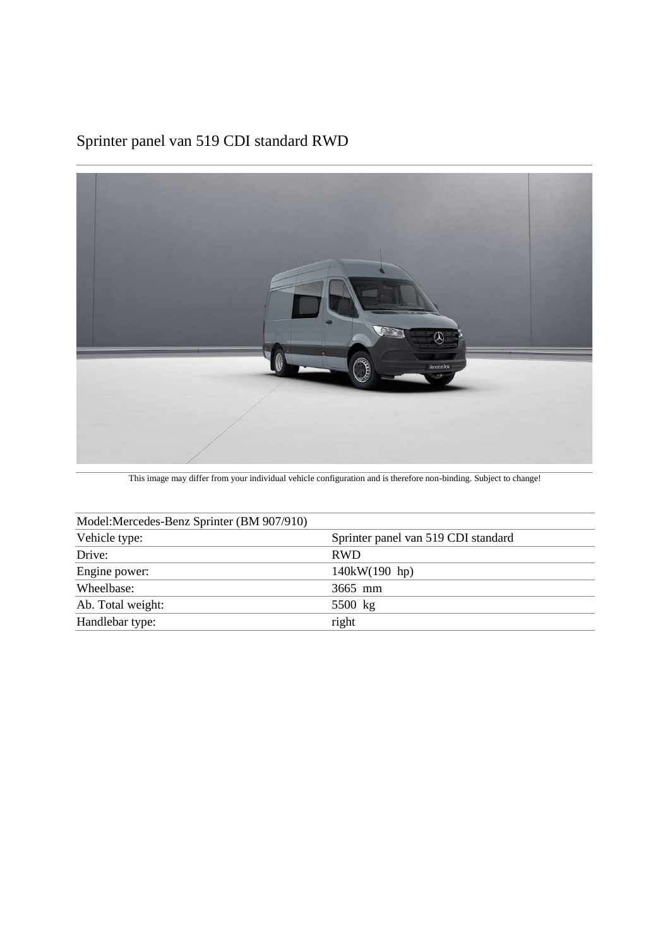### Sprinter panel van 519 CDI standard RWD



This image may differ from your individual vehicle configuration and is therefore non-binding. Subject to change!

| Model:Mercedes-Benz Sprinter (BM 907/910) |  |  |  |  |
|-------------------------------------------|--|--|--|--|
| Sprinter panel van 519 CDI standard       |  |  |  |  |
| <b>RWD</b>                                |  |  |  |  |
| 140kW(190 hp)                             |  |  |  |  |
| 3665 mm                                   |  |  |  |  |
| 5500 kg                                   |  |  |  |  |
| right                                     |  |  |  |  |
|                                           |  |  |  |  |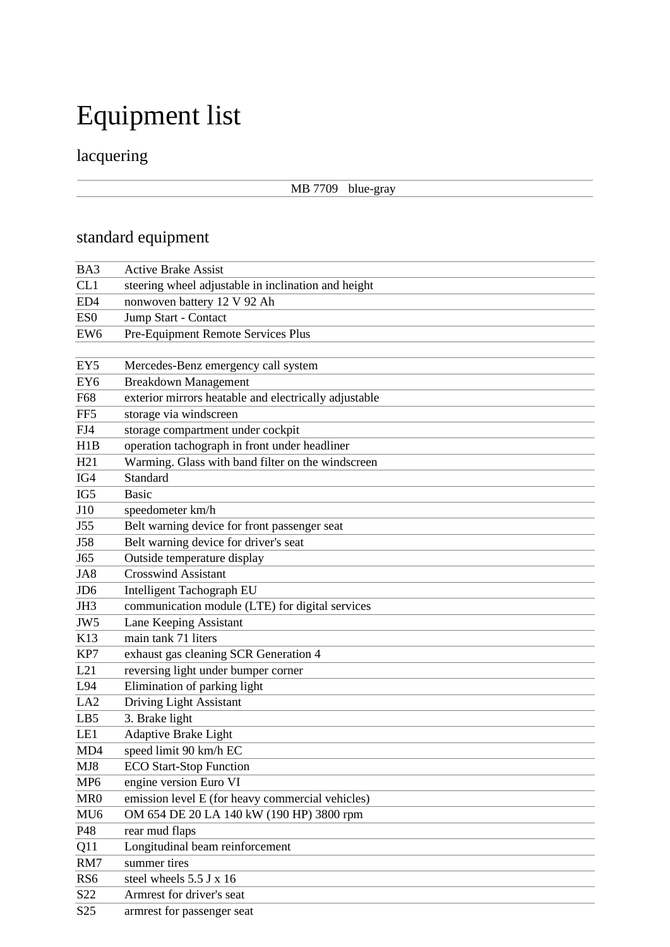# Equipment list

## lacquering

### MB 7709 blue-gray

## standard equipment

| BA3             | <b>Active Brake Assist</b>                            |  |  |  |
|-----------------|-------------------------------------------------------|--|--|--|
| CL1             | steering wheel adjustable in inclination and height   |  |  |  |
| ED4             | nonwoven battery 12 V 92 Ah                           |  |  |  |
| ES <sub>0</sub> | Jump Start - Contact                                  |  |  |  |
| EW <sub>6</sub> | Pre-Equipment Remote Services Plus                    |  |  |  |
|                 |                                                       |  |  |  |
| EY <sub>5</sub> | Mercedes-Benz emergency call system                   |  |  |  |
| EY <sub>6</sub> | <b>Breakdown Management</b>                           |  |  |  |
| F68             | exterior mirrors heatable and electrically adjustable |  |  |  |
| FF <sub>5</sub> | storage via windscreen                                |  |  |  |
| FJ4             | storage compartment under cockpit                     |  |  |  |
| H1B             | operation tachograph in front under headliner         |  |  |  |
| H21             | Warming. Glass with band filter on the windscreen     |  |  |  |
| IG4             | Standard                                              |  |  |  |
| IG5             | <b>Basic</b>                                          |  |  |  |
| J10             | speedometer km/h                                      |  |  |  |
| J55             | Belt warning device for front passenger seat          |  |  |  |
| J58             | Belt warning device for driver's seat                 |  |  |  |
| J65             | Outside temperature display                           |  |  |  |
| JA8             | <b>Crosswind Assistant</b>                            |  |  |  |
| JD <sub>6</sub> | Intelligent Tachograph EU                             |  |  |  |
| JH3             | communication module (LTE) for digital services       |  |  |  |
| JW <sub>5</sub> | Lane Keeping Assistant                                |  |  |  |
| K13             | main tank 71 liters                                   |  |  |  |
| KP7             | exhaust gas cleaning SCR Generation 4                 |  |  |  |
| L21             | reversing light under bumper corner                   |  |  |  |
| L94             | Elimination of parking light                          |  |  |  |
| LA <sub>2</sub> | Driving Light Assistant                               |  |  |  |
| LB5             | 3. Brake light                                        |  |  |  |
| LE1             | Adaptive Brake Light                                  |  |  |  |
| MD4             | speed limit 90 km/h EC                                |  |  |  |
| MJ8             | <b>ECO Start-Stop Function</b>                        |  |  |  |
| MP <sub>6</sub> | engine version Euro VI                                |  |  |  |
| MR <sub>0</sub> | emission level E (for heavy commercial vehicles)      |  |  |  |
| MU <sub>6</sub> | OM 654 DE 20 LA 140 kW (190 HP) 3800 rpm              |  |  |  |
| P48             | rear mud flaps                                        |  |  |  |
| Q11             | Longitudinal beam reinforcement                       |  |  |  |
| RM7             | summer tires                                          |  |  |  |
| RS <sub>6</sub> | steel wheels 5.5 J x 16                               |  |  |  |
| S22             | Armrest for driver's seat                             |  |  |  |
| S <sub>25</sub> | armrest for passenger seat                            |  |  |  |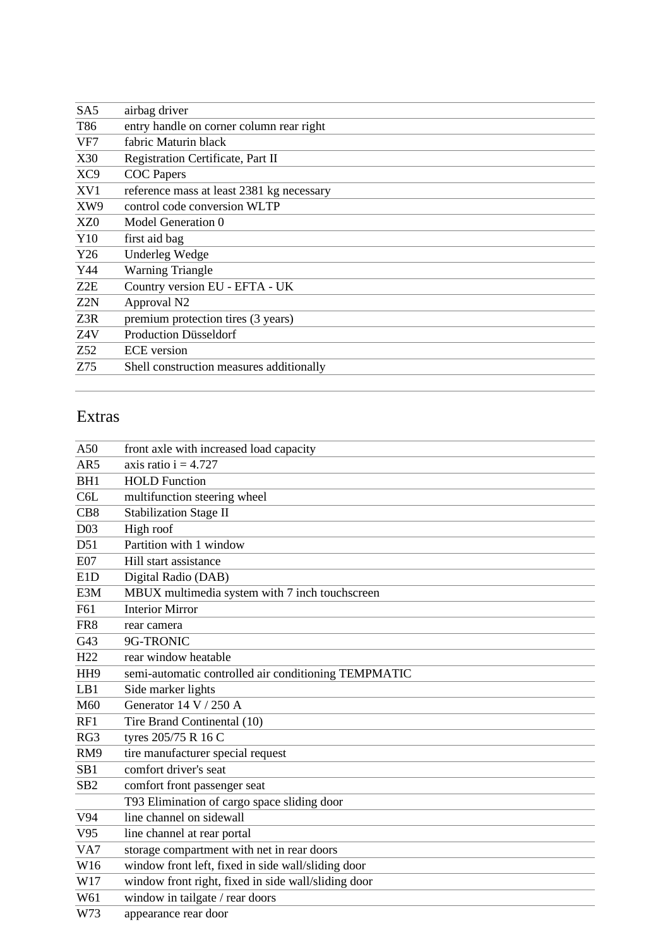| SA5             | airbag driver                             |  |
|-----------------|-------------------------------------------|--|
| T86             | entry handle on corner column rear right  |  |
| VF7             | fabric Maturin black                      |  |
| X30             | Registration Certificate, Part II         |  |
| XC9             | <b>COC</b> Papers                         |  |
| XV1             | reference mass at least 2381 kg necessary |  |
| XW9             | control code conversion WLTP              |  |
| XZ <sub>0</sub> | Model Generation 0                        |  |
| Y10             | first aid bag                             |  |
| Y26             | <b>Underleg Wedge</b>                     |  |
| Y44             | <b>Warning Triangle</b>                   |  |
| Z2E             | Country version EU - EFTA - UK            |  |
| Z2N             | Approval N2                               |  |
| Z3R             | premium protection tires (3 years)        |  |
| Z4V             | <b>Production Düsseldorf</b>              |  |
| Z52             | <b>ECE</b> version                        |  |
| Z75             | Shell construction measures additionally  |  |

### Extras

| A50             | front axle with increased load capacity              |  |  |  |
|-----------------|------------------------------------------------------|--|--|--|
| AR5             | axis ratio $i = 4.727$                               |  |  |  |
| BH1             | <b>HOLD</b> Function                                 |  |  |  |
| C6L             | multifunction steering wheel                         |  |  |  |
| CB8             | <b>Stabilization Stage II</b>                        |  |  |  |
| D <sub>03</sub> | High roof                                            |  |  |  |
| D51             | Partition with 1 window                              |  |  |  |
| <b>E07</b>      | Hill start assistance                                |  |  |  |
| E1D             | Digital Radio (DAB)                                  |  |  |  |
| E3M             | MBUX multimedia system with 7 inch touchscreen       |  |  |  |
| F61             | <b>Interior Mirror</b>                               |  |  |  |
| FR8             | rear camera                                          |  |  |  |
| G43             | 9G-TRONIC                                            |  |  |  |
| H <sub>22</sub> | rear window heatable                                 |  |  |  |
| HH <sub>9</sub> | semi-automatic controlled air conditioning TEMPMATIC |  |  |  |
| LB1             | Side marker lights                                   |  |  |  |
| M60             | Generator 14 V / 250 A                               |  |  |  |
| RF1             | Tire Brand Continental (10)                          |  |  |  |
| RG3             | tyres 205/75 R 16 C                                  |  |  |  |
| RM9             | tire manufacturer special request                    |  |  |  |
| SB <sub>1</sub> | comfort driver's seat                                |  |  |  |
| SB <sub>2</sub> | comfort front passenger seat                         |  |  |  |
|                 | T93 Elimination of cargo space sliding door          |  |  |  |
| V94             | line channel on sidewall                             |  |  |  |
| V <sub>95</sub> | line channel at rear portal                          |  |  |  |
| VA7             | storage compartment with net in rear doors           |  |  |  |
| W16             | window front left, fixed in side wall/sliding door   |  |  |  |
| W17             | window front right, fixed in side wall/sliding door  |  |  |  |
| W61             | window in tailgate / rear doors                      |  |  |  |
| W73             | appearance rear door                                 |  |  |  |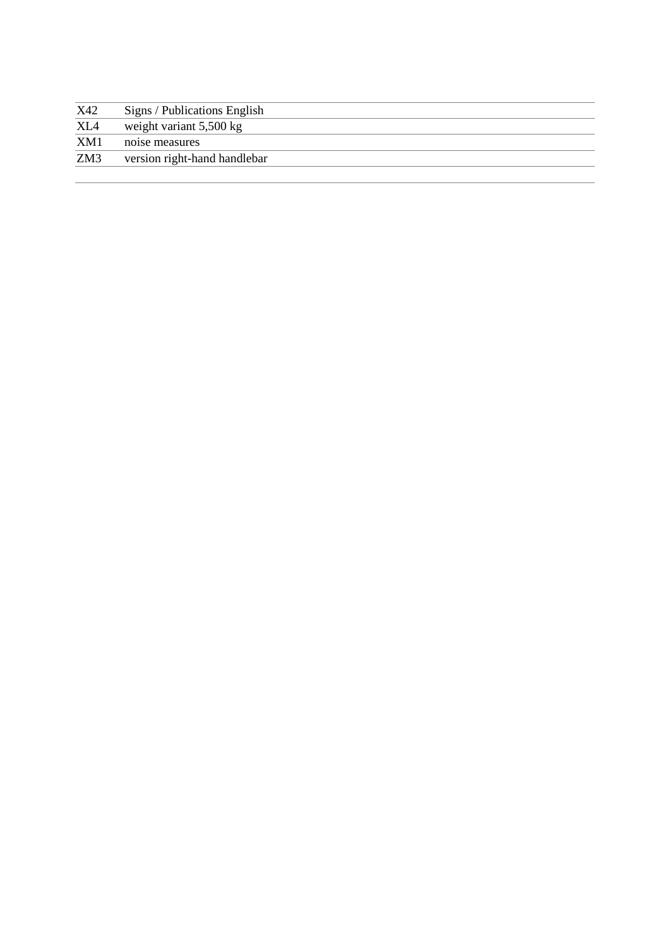| X42 | Signs / Publications English      |  |
|-----|-----------------------------------|--|
| XL4 | weight variant $5,500 \text{ kg}$ |  |
| XM1 | noise measures                    |  |
| ZM3 | version right-hand handlebar      |  |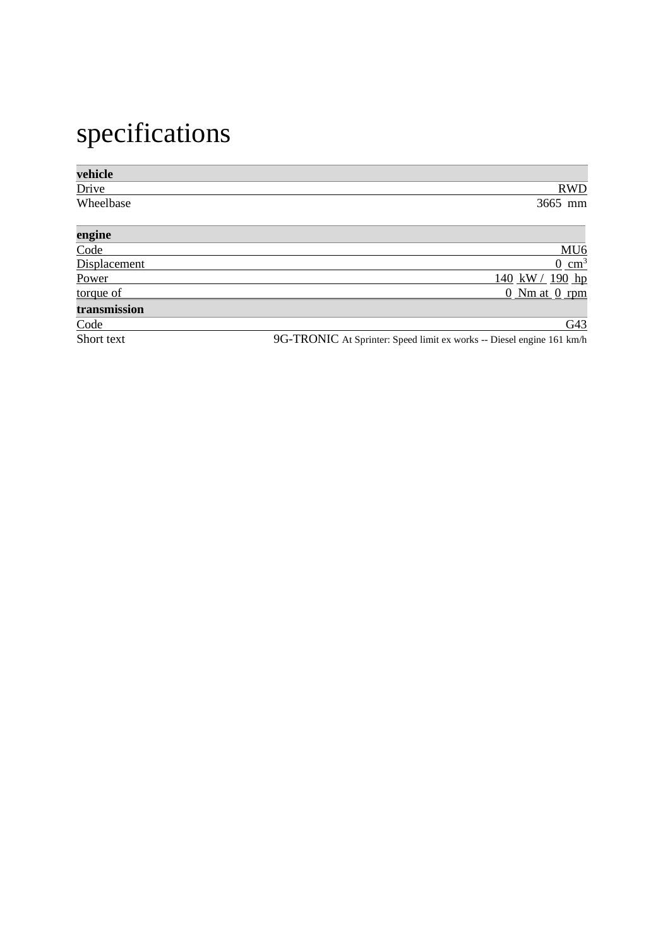# specifications

| vehicle      |                                                                       |
|--------------|-----------------------------------------------------------------------|
| Drive        | <b>RWD</b>                                                            |
| Wheelbase    | 3665 mm                                                               |
| engine       |                                                                       |
| Code         | MU <sub>6</sub>                                                       |
| Displacement | $0 \text{ cm}^3$                                                      |
| Power        | <u>140 kW / 190 hp</u>                                                |
| torque of    | $0$ Nm at $0$ rpm                                                     |
| transmission |                                                                       |
| Code         | G43                                                                   |
| Short text   | 9G-TRONIC At Sprinter: Speed limit ex works -- Diesel engine 161 km/h |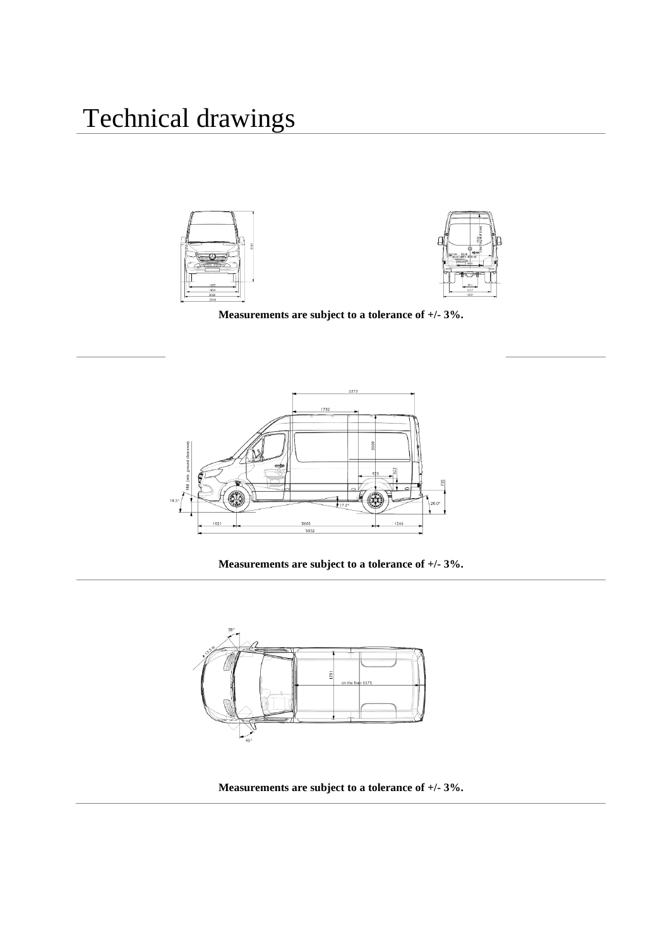



**Measurements are subject to a tolerance of +/- 3%.**



**Measurements are subject to a tolerance of +/- 3%.**



**Measurements are subject to a tolerance of +/- 3%.**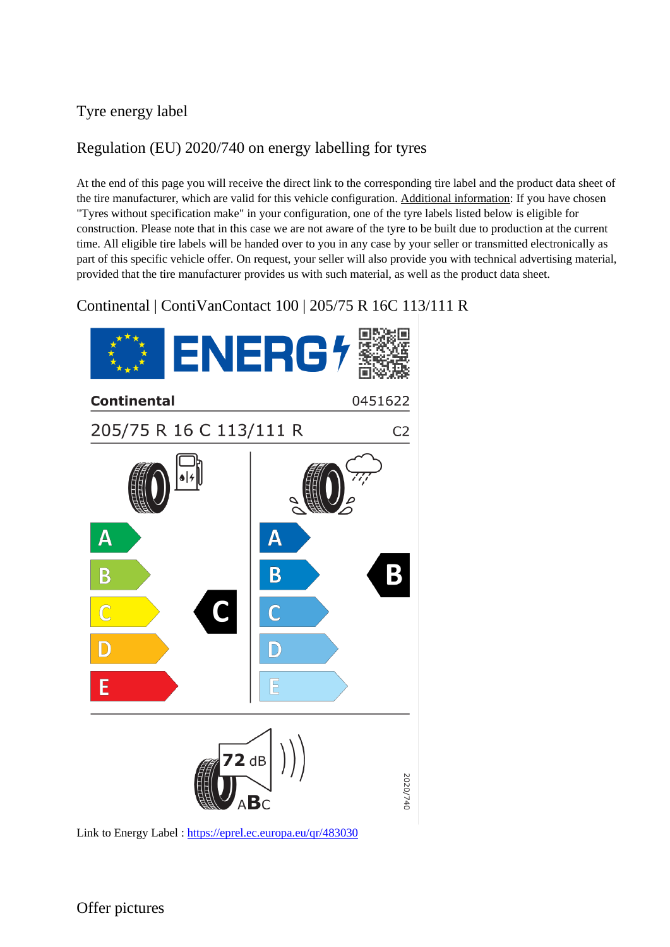### Tyre energy label

### Regulation (EU) 2020/740 on energy labelling for tyres

At the end of this page you will receive the direct link to the corresponding tire label and the product data sheet of the tire manufacturer, which are valid for this vehicle configuration. Additional information: If you have chosen "Tyres without specification make" in your configuration, one of the tyre labels listed below is eligible for construction. Please note that in this case we are not aware of the tyre to be built due to production at the current time. All eligible tire labels will be handed over to you in any case by your seller or transmitted electronically as part of this specific vehicle offer. On request, your seller will also provide you with technical advertising material, provided that the tire manufacturer provides us with such material, as well as the product data sheet.

Continental | ContiVanContact 100 | 205/75 R 16C 113/111 R



Link to Energy Label :<https://eprel.ec.europa.eu/qr/483030>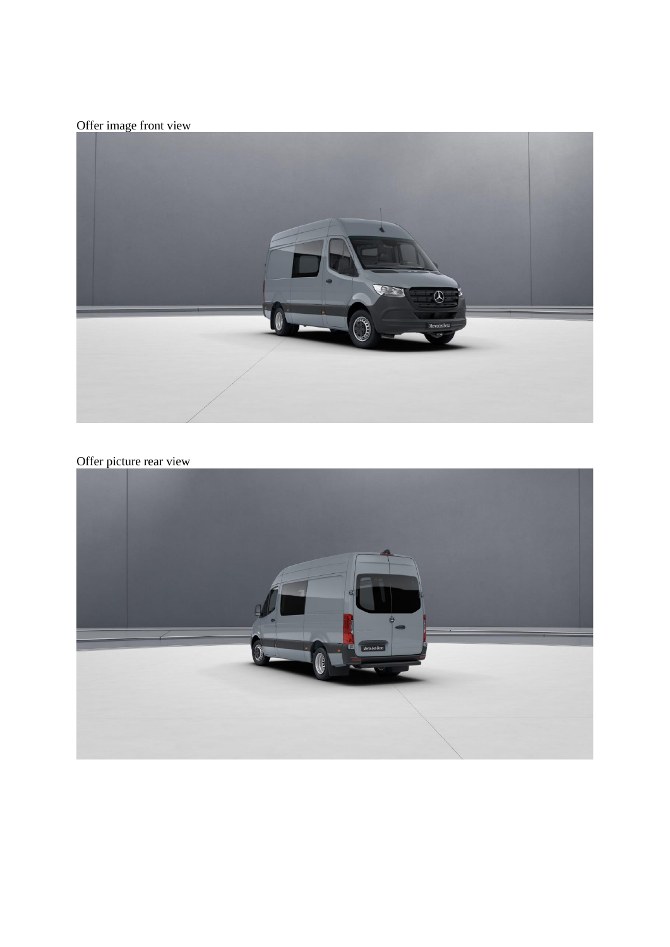Offer image front view



### Offer picture rear view